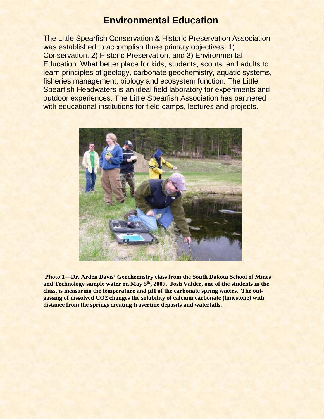## **Environmental Education**

The Little Spearfish Conservation & Historic Preservation Association was established to accomplish three primary objectives: 1) Conservation, 2) Historic Preservation, and 3) Environmental Education. What better place for kids, students, scouts, and adults to learn principles of geology, carbonate geochemistry, aquatic systems, fisheries management, biology and ecosystem function. The Little Spearfish Headwaters is an ideal field laboratory for experiments and outdoor experiences. The Little Spearfish Association has partnered with educational institutions for field camps, lectures and projects.



**Photo 1—Dr. Arden Davis' Geochemistry class from the South Dakota School of Mines**  and Technology sample water on May 5<sup>th</sup>, 2007. Josh Valder, one of the students in the **class, is measuring the temperature and pH of the carbonate spring waters. The outgassing of dissolved CO2 changes the solubility of calcium carbonate (limestone) with distance from the springs creating travertine deposits and waterfalls.**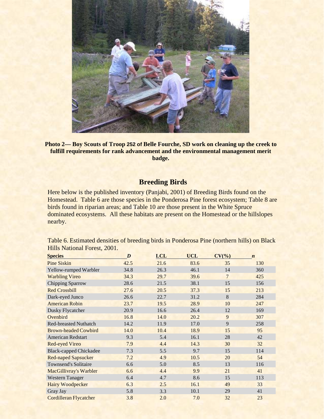

**Photo 2— Boy Scouts of Troop 252 of Belle Fourche, SD work on cleaning up the creek to fulfill requirements for rank advancement and the environmental management merit badge.**

## **Breeding Birds**

Here below is the published inventory (Panjabi, 2001) of Breeding Birds found on the Homestead. Table 6 are those species in the Ponderosa Pine forest ecosystem; Table 8 are birds found in riparian areas; and Table 10 are those present in the White Spruce dominated ecosystems. All these habitats are present on the Homestead or the hillslopes nearby.

Table 6. Estimated densities of breeding birds in Ponderosa Pine (northern hills) on Black Hills National Forest, 2001.

| <b>Species</b>                | D    | <b>LCL</b> | <b>UCL</b> | CV(%)          | $\boldsymbol{n}$ |
|-------------------------------|------|------------|------------|----------------|------------------|
| <b>Pine Siskin</b>            | 42.5 | 21.6       | 83.6       | 35             | 130              |
| Yellow-rumped Warbler         | 34.8 | 26.3       | 46.1       | 14             | 360              |
| <b>Warbling Vireo</b>         | 34.3 | 29.7       | 39.6       | $\overline{7}$ | 425              |
| <b>Chipping Sparrow</b>       | 28.6 | 21.5       | 38.1       | 15             | 156              |
| <b>Red Crossbill</b>          | 27.6 | 20.5       | 37.3       | 15             | 213              |
| Dark-eyed Junco               | 26.6 | 22.7       | 31.2       | $\,8\,$        | 284              |
| <b>American Robin</b>         | 23.7 | 19.5       | 28.9       | 10             | 247              |
| Dusky Flycatcher              | 20.9 | 16.6       | 26.4       | 12             | 169              |
| Ovenbird                      | 16.8 | 14.0       | 20.2       | 9              | 307              |
| <b>Red-breasted Nuthatch</b>  | 14.2 | 11.9       | 17.0       | 9              | 258              |
| <b>Brown-headed Cowbird</b>   | 14.0 | 10.4       | 18.9       | 15             | 95               |
| <b>American Redstart</b>      | 9.3  | 5.4        | 16.1       | 28             | 42               |
| <b>Red-eyed Vireo</b>         | 7.9  | 4.4        | 14.3       | 30             | 32               |
| <b>Black-capped Chickadee</b> | 7.3  | 5.5        | 9.7        | 15             | 114              |
| <b>Red-naped Sapsucker</b>    | 7.2  | 4.9        | 10.5       | 20             | 54               |
| Townsend's Solitaire          | 6.6  | 5.0        | 8.5        | 13             | 116              |
| MacGillivray's Warbler        | 6.6  | 4.4        | 9.9        | 21             | 41               |
| <b>Western Tanager</b>        | 6.4  | 4.7        | 8.6        | 15             | 113              |
| <b>Hairy Woodpecker</b>       | 6.3  | 2.5        | 16.1       | 49             | 33               |
| Gray Jay                      | 5.8  | 3.3        | 10.1       | 29             | 41               |
| <b>Cordilleran Flycatcher</b> | 3.8  | 2.0        | 7.0        | 32             | 23               |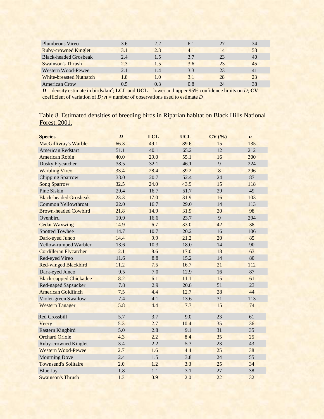| 3.6 | 2.2                            | 6.1 | 27 | 34 |  |
|-----|--------------------------------|-----|----|----|--|
| 3.1 | 2.3                            | 4.1 | 14 | 58 |  |
| 2.4 | 1.5                            | 3.7 | 23 | 40 |  |
| 2.3 | 1.5                            | 3.6 | 23 | 45 |  |
| 2.1 | 1.4                            | 3.3 | 23 | 41 |  |
| 1.8 | 1.0                            | 3.1 | 28 | 23 |  |
| 0.5 | 03                             | 0.8 | 24 | 38 |  |
|     | <b>White-breasted Nuthatch</b> |     |    |    |  |

 $D =$  density estimate in birds/km<sup>2</sup>; LCL and UCL = lower and upper 95% confidence limits on *D*; CV = coefficient of variation of *D; n* = number of observations used to estimate *D*

Table 8. Estimated densities of breeding birds in Riparian habitat on Black Hills National Forest, 2001.

| <b>Species</b>                | $\boldsymbol{D}$ | <b>LCL</b> | <b>UCL</b> | CV(%)   | $\boldsymbol{n}$ |
|-------------------------------|------------------|------------|------------|---------|------------------|
| MacGillivray's Warbler        | 66.3             | 49.1       | 89.6       | 15      | 135              |
| <b>American Redstart</b>      | 51.1             | 40.1       | 65.2       | 12      | 212              |
| <b>American Robin</b>         | 40.0             | 29.0       | 55.1       | 16      | 300              |
| Dusky Flycatcher              | 38.5             | 32.1       | 46.1       | 9       | 224              |
| <b>Warbling Vireo</b>         | 33.4             | 28.4       | 39.2       | $\bf 8$ | 296              |
| Chipping Sparrow              | 33.0             | 20.7       | 52.4       | 24      | 87               |
| <b>Song Sparrow</b>           | 32.5             | 24.0       | 43.9       | 15      | 118              |
| Pine Siskin                   | 29.4             | 16.7       | 51.7       | 29      | 49               |
| <b>Black-headed Grosbeak</b>  | 23.3             | 17.0       | 31.9       | 16      | 103              |
| <b>Common Yellowthroat</b>    | 22.0             | 16.7       | 29.0       | 14      | 113              |
| <b>Brown-headed Cowbird</b>   | 21.8             | 14.9       | 31.9       | 20      | 98               |
| Ovenbird                      | 19.9             | 16.6       | 23.7       | 9       | 294              |
| <b>Cedar Waxwing</b>          | 14.9             | 6.7        | 33.0       | 42      | 38               |
| <b>Spotted Towhee</b>         | 14.7             | 10.7       | 20.2       | 16      | 106              |
| Dark-eyed Junco               | 14.4             | 9.9        | 21.2       | 20      | 85               |
| Yellow-rumped Warbler         | 13.6             | 10.3       | 18.0       | 14      | 90               |
| <b>Cordilleran Flycatcher</b> | 12.1             | 8.6        | 17.0       | 18      | 63               |
| Red-eyed Vireo                | 11.6             | 8.8        | 15.2       | 14      | 80               |
| <b>Red-winged Blackbird</b>   | 11.2             | 7.5        | 16.7       | 21      | 112              |
| Dark-eyed Junco               | 9.5              | 7.0        | 12.9       | 16      | 87               |
| <b>Black-capped Chickadee</b> | 8.2              | 6.1        | 11.1       | 15      | 61               |
| Red-naped Sapsucker           | 7.8              | 2.9        | 20.8       | 51      | 23               |
| <b>American Goldfinch</b>     | 7.5              | 4.4        | 12.7       | 28      | 44               |
| Violet-green Swallow          | 7.4              | 4.1        | 13.6       | 31      | 113              |
| <b>Western Tanager</b>        | 5.8              | 4.4        | 7.7        | 15      | 74               |
| <b>Red Crossbill</b>          | 5.7              | 3.7        | 9.0        | 23      | 61               |
| Veery                         | 5.3              | 2.7        | 10.4       | 35      | 36               |
| Eastern Kingbird              | 5.0              | 2.8        | 9.1        | 31      | 35               |
| <b>Orchard Oriole</b>         | 4.3              | 2.2        | 8.4        | 35      | 25               |
| Ruby-crowned Kinglet          | 3.4              | 2.2        | 5.3        | 23      | 43               |
| <b>Western Wood-Pewee</b>     | 2.7              | 1.6        | 4.4        | 25      | 38               |
| <b>Mourning Dove</b>          | 2.4              | 1.5        | 3.8        | 24      | 55               |
| <b>Townsend's Solitaire</b>   | 2.0              | 1.2        | 3.3        | 25      | 34               |
| <b>Blue Jay</b>               | 1.8              | 1.1        | 3.1        | 27      | 38               |
| <b>Swainson's Thrush</b>      | 1.3              | 0.9        | 2.0        | 22      | 32               |